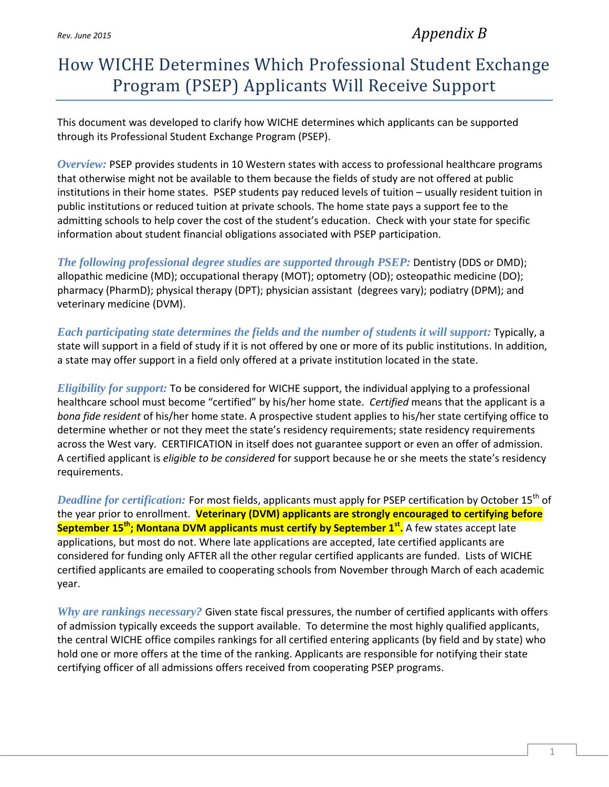*Rev. June <sup>2015</sup> Appendix B*

## How WICHE Determines Which Professional Student Exchange Program (PSEP) Applicants Will Receive Support

This document was developed to clarify how WICHE determines which applicants can be supported through its Professional Student Exchange Program (PSEP).

*Overview:* PSEP provides students in 10 Western states with access to professional healthcare programs that otherwise might not be available to them because the fields of study are not offered at public institutions in their home states. PSEP students pay reduced levels of tuition – usually resident tuition in public institutions or reduced tuition at private schools. The home state pays a support fee to the admitting schools to help cover the cost of the student's education. Check with your state for specific information about student financial obligations associated with PSEP participation.

*The following professional degree studies are supported through PSEP:* Dentistry (DDS or DMD); allopathic medicine (MD); occupational therapy (MOT); optometry (OD); osteopathic medicine (DO); pharmacy (PharmD); physical therapy (DPT); physician assistant (degrees vary); podiatry (DPM); and veterinary medicine (DVM).

*Each participating state determines the fields and the number of students it will support:* Typically, a state will support in a field of study if it is not offered by one or more of its public institutions. In addition, a state may offer support in a field only offered at a private institution located in the state.

*Eligibility for support:* To be considered for WICHE support, the individual applying to a professional healthcare school must become "certified" by his/her home state. *Certified* means that the applicant is a *bona fide resident* of his/her home state. A prospective student applies to his/her state certifying office to determine whether or not they meet the state's residency requirements; state residency requirements across the West vary. CERTIFICATION in itself does not guarantee support or even an offer of admission. A certified applicant is *eligible to be considered* for support because he or she meets the state's residency requirements.

*Deadline for certification:* For most fields, applicants must apply for PSEP certification by October 15<sup>th</sup> of the year prior to enrollment. **Veterinary (DVM) applicants are strongly encouraged to certifying before September 15th ; Montana DVM applicants must certify by September 1st .** A few states accept late applications, but most do not. Where late applications are accepted, late certified applicants are considered for funding only AFTER all the other regular certified applicants are funded. Lists of WICHE certified applicants are emailed to cooperating schools from November through March of each academic year.

*Why are rankings necessary?* Given state fiscal pressures, the number of certified applicants with offers of admission typically exceeds the support available. To determine the most highly qualified applicants, the central WICHE office compiles rankings for all certified entering applicants (by field and by state) who hold one or more offers at the time of the ranking. Applicants are responsible for notifying their state certifying officer of all admissions offers received from cooperating PSEP programs.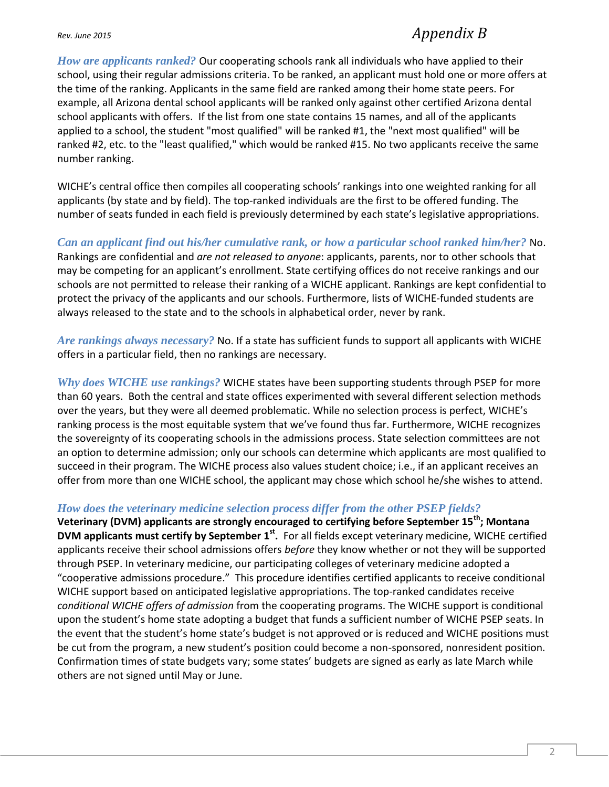## *Rev. June <sup>2015</sup> Appendix B*

*How are applicants ranked?* Our cooperating schools rank all individuals who have applied to their school, using their regular admissions criteria. To be ranked, an applicant must hold one or more offers at the time of the ranking. Applicants in the same field are ranked among their home state peers. For example, all Arizona dental school applicants will be ranked only against other certified Arizona dental school applicants with offers. If the list from one state contains 15 names, and all of the applicants applied to a school, the student "most qualified" will be ranked #1, the "next most qualified" will be ranked #2, etc. to the "least qualified," which would be ranked #15. No two applicants receive the same number ranking.

WICHE's central office then compiles all cooperating schools' rankings into one weighted ranking for all applicants (by state and by field). The top-ranked individuals are the first to be offered funding. The number of seats funded in each field is previously determined by each state's legislative appropriations.

*Can an applicant find out his/her cumulative rank, or how a particular school ranked him/her?* No. Rankings are confidential and *are not released to anyone*: applicants, parents, nor to other schools that may be competing for an applicant's enrollment. State certifying offices do not receive rankings and our schools are not permitted to release their ranking of a WICHE applicant. Rankings are kept confidential to protect the privacy of the applicants and our schools. Furthermore, lists of WICHE-funded students are always released to the state and to the schools in alphabetical order, never by rank.

*Are rankings always necessary?* No. If a state has sufficient funds to support all applicants with WICHE offers in a particular field, then no rankings are necessary.

*Why does WICHE use rankings?* WICHE states have been supporting students through PSEP for more than 60 years. Both the central and state offices experimented with several different selection methods over the years, but they were all deemed problematic. While no selection process is perfect, WICHE's ranking process is the most equitable system that we've found thus far. Furthermore, WICHE recognizes the sovereignty of its cooperating schools in the admissions process. State selection committees are not an option to determine admission; only our schools can determine which applicants are most qualified to succeed in their program. The WICHE process also values student choice; i.e., if an applicant receives an offer from more than one WICHE school, the applicant may chose which school he/she wishes to attend.

## *How does the veterinary medicine selection process differ from the other PSEP fields?*

**Veterinary (DVM) applicants are strongly encouraged to certifying before September 15th ; Montana DVM applicants must certify by September 1st .** For all fields except veterinary medicine, WICHE certified applicants receive their school admissions offers *before* they know whether or not they will be supported through PSEP. In veterinary medicine, our participating colleges of veterinary medicine adopted a "cooperative admissions procedure." This procedure identifies certified applicants to receive conditional WICHE support based on anticipated legislative appropriations. The top-ranked candidates receive *conditional WICHE offers of admission* from the cooperating programs. The WICHE support is conditional upon the student's home state adopting a budget that funds a sufficient number of WICHE PSEP seats. In the event that the student's home state's budget is not approved or is reduced and WICHE positions must be cut from the program, a new student's position could become a non-sponsored, nonresident position. Confirmation times of state budgets vary; some states' budgets are signed as early as late March while others are not signed until May or June.